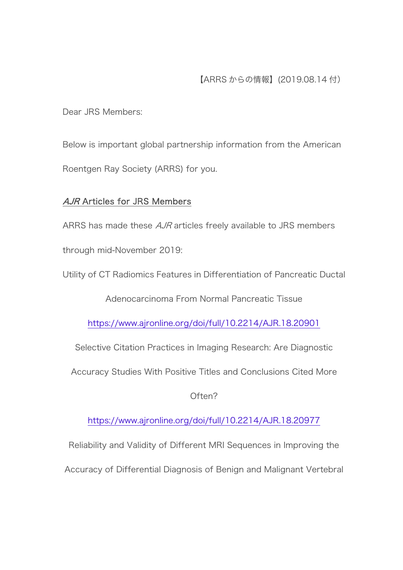Dear JRS Members:

Below is important global partnership information from the American Roentgen Ray Society (ARRS) for you.

## AJR Articles for JRS Members

ARRS has made these *AJR* articles freely available to JRS members

through mid-November 2019:

Utility of CT Radiomics Features in Differentiation of Pancreatic Ductal

Adenocarcinoma From Normal Pancreatic Tissue

https://www.ajronline.org/doi/full/10.2214/AJR.18.20901

Selective Citation Practices in Imaging Research: Are Diagnostic

Accuracy Studies With Positive Titles and Conclusions Cited More

Often?

https://www.ajronline.org/doi/full/10.2214/AJR.18.20977

Reliability and Validity of Different MRI Sequences in Improving the

Accuracy of Differential Diagnosis of Benign and Malignant Vertebral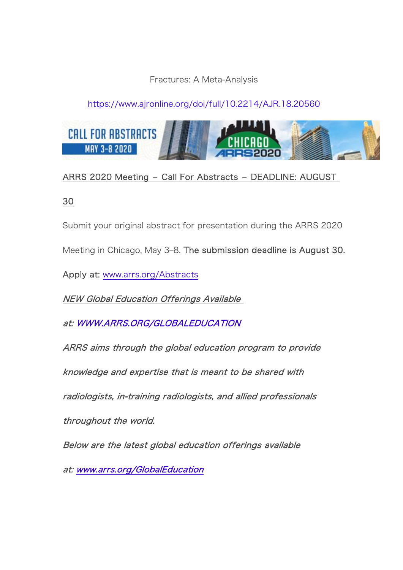## Fractures: A Meta-Analysis

# https://www.ajronline.org/doi/full/10.2214/AJR.18.20560



## ARRS 2020 Meeting - Call For Abstracts - DEADLINE: AUGUST

30

Submit your original abstract for presentation during the ARRS 2020

Meeting in Chicago, May 3–8. The submission deadline is August 30.

Apply at: www.arrs.org/Abstracts

NEW Global Education Offerings Available

at: WWW.ARRS.ORG/GLOBALEDUCATION

ARRS aims through the global education program to provide

knowledge and expertise that is meant to be shared with

radiologists, in-training radiologists, and allied professionals

throughout the world.

Below are the latest global education offerings available

at: www.arrs.org/GlobalEducation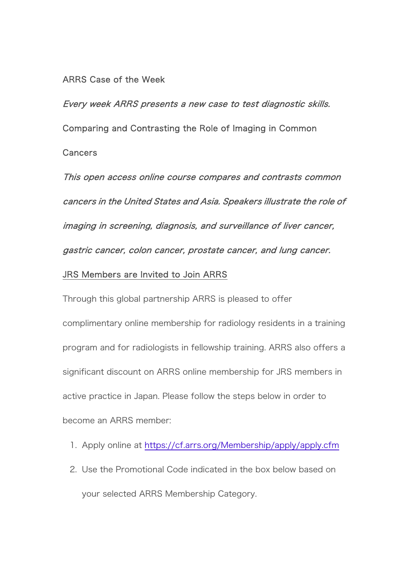### ARRS Case of the Week

Every week ARRS presents a new case to test diagnostic skills. Comparing and Contrasting the Role of Imaging in Common Cancers

This open access online course compares and contrasts common cancers in the United States and Asia. Speakers illustrate the role of imaging in screening, diagnosis, and surveillance of liver cancer, gastric cancer, colon cancer, prostate cancer, and lung cancer.

### JRS Members are Invited to Join ARRS

Through this global partnership ARRS is pleased to offer complimentary online membership for radiology residents in a training program and for radiologists in fellowship training. ARRS also offers a significant discount on ARRS online membership for JRS members in active practice in Japan. Please follow the steps below in order to become an ARRS member:

- 1. Apply online at https://cf.arrs.org/Membership/apply/apply.cfm
- 2. Use the Promotional Code indicated in the box below based on your selected ARRS Membership Category.